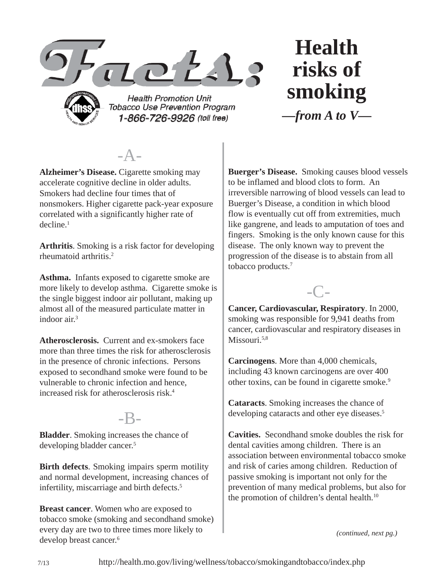

**Health Promotion Unit Tobacco Use Prevention Program** 1-866-726-9926 (toll free)

**Health risks of smoking** *—from A to V—*

 $-A-$ 

**Alzheimer's Disease.** Cigarette smoking may accelerate cognitive decline in older adults. Smokers had decline four times that of nonsmokers. Higher cigarette pack-year exposure correlated with a significantly higher rate of decline.1

**Arthritis**. Smoking is a risk factor for developing rheumatoid arthritis.2

**Asthma.** Infants exposed to cigarette smoke are more likely to develop asthma. Cigarette smoke is the single biggest indoor air pollutant, making up almost all of the measured particulate matter in indoor air $3$ 

**Atherosclerosis.** Current and ex-smokers face more than three times the risk for atherosclerosis in the presence of chronic infections. Persons exposed to secondhand smoke were found to be vulnerable to chronic infection and hence, increased risk for atherosclerosis risk.4

#### -B-

**Bladder**. Smoking increases the chance of developing bladder cancer.5

**Birth defects**. Smoking impairs sperm motility and normal development, increasing chances of infertility, miscarriage and birth defects.<sup>5</sup>

**Breast cancer**. Women who are exposed to tobacco smoke (smoking and secondhand smoke) every day are two to three times more likely to develop breast cancer.<sup>6</sup>

**Buerger's Disease.** Smoking causes blood vessels to be inflamed and blood clots to form. An irreversible narrowing of blood vessels can lead to Buerger's Disease, a condition in which blood flow is eventually cut off from extremities, much like gangrene, and leads to amputation of toes and fingers. Smoking is the only known cause for this disease. The only known way to prevent the progression of the disease is to abstain from all tobacco products.7



**Cancer, Cardiovascular, Respiratory**. In 2000, smoking was responsible for 9,941 deaths from cancer, cardiovascular and respiratory diseases in Missouri.<sup>5,8</sup>

**Carcinogens**. More than 4,000 chemicals, including 43 known carcinogens are over 400 other toxins, can be found in cigarette smoke.<sup>9</sup>

**Cataracts**. Smoking increases the chance of developing cataracts and other eye diseases.<sup>5</sup>

**Cavities.** Secondhand smoke doubles the risk for dental cavities among children. There is an association between environmental tobacco smoke and risk of caries among children. Reduction of passive smoking is important not only for the prevention of many medical problems, but also for the promotion of children's dental health.<sup>10</sup>

*(continued, next pg.)*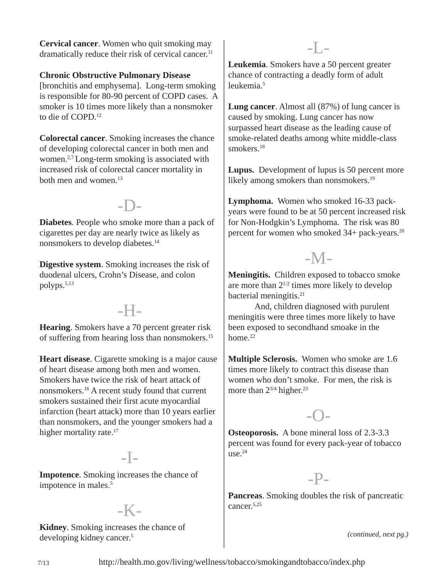**Cervical cancer**. Women who quit smoking may dramatically reduce their risk of cervical cancer.<sup>11</sup>

**Chronic Obstructive Pulmonary Disease**  [bronchitis and emphysema]. Long-term smoking is responsible for 80-90 percent of COPD cases. A smoker is 10 times more likely than a nonsmoker to die of COPD.<sup>12</sup>

**Colorectal cancer**. Smoking increases the chance of developing colorectal cancer in both men and women.2,7 Long-term smoking is associated with increased risk of colorectal cancer mortality in both men and women.13

## -D-

**Diabetes**. People who smoke more than a pack of cigarettes per day are nearly twice as likely as nonsmokers to develop diabetes.<sup>14</sup>

**Digestive system**. Smoking increases the risk of duodenal ulcers, Crohn's Disease, and colon polyps.5,13

## -H-

**Hearing**. Smokers have a 70 percent greater risk of suffering from hearing loss than nonsmokers.15

**Heart disease**. Cigarette smoking is a major cause of heart disease among both men and women. Smokers have twice the risk of heart attack of nonsmokers.16 A recent study found that current smokers sustained their first acute myocardial infarction (heart attack) more than 10 years earlier than nonsmokers, and the younger smokers had a higher mortality rate.<sup>17</sup>

#### $-I<sub>-</sub>$

**Impotence**. Smoking increases the chance of impotence in males.<sup>5</sup>

## $-K-$

**Kidney**. Smoking increases the chance of developing kidney cancer.5

**Leukemia**. Smokers have a 50 percent greater chance of contracting a deadly form of adult leukemia.5

-L-

**Lung cancer**. Almost all (87%) of lung cancer is caused by smoking. Lung cancer has now surpassed heart disease as the leading cause of smoke-related deaths among white middle-class smokers.18

**Lupus.** Development of lupus is 50 percent more likely among smokers than nonsmokers.<sup>19</sup>

**Lymphoma.** Women who smoked 16-33 packyears were found to be at 50 percent increased risk for Non-Hodgkin's Lymphoma. The risk was 80 percent for women who smoked 34+ pack-years.<sup>20</sup>

# $-M<sub>-</sub>$

**Meningitis.** Children exposed to tobacco smoke are more than  $2^{1/2}$  times more likely to develop bacterial meningitis.<sup>21</sup>

And, children diagnosed with purulent meningitis were three times more likely to have been exposed to secondhand smoake in the home. $22$ 

**Multiple Sclerosis.** Women who smoke are 1.6 times more likely to contract this disease than women who don't smoke. For men, the risk is more than  $2^{3/4}$  higher.<sup>23</sup>

## -O-

**Osteoporosis.** A bone mineral loss of 2.3-3.3 percent was found for every pack-year of tobacco  $use<sup>24</sup>$ 

#### -P-

**Pancreas**. Smoking doubles the risk of pancreatic cancer.5,25

*(continued, next pg.)*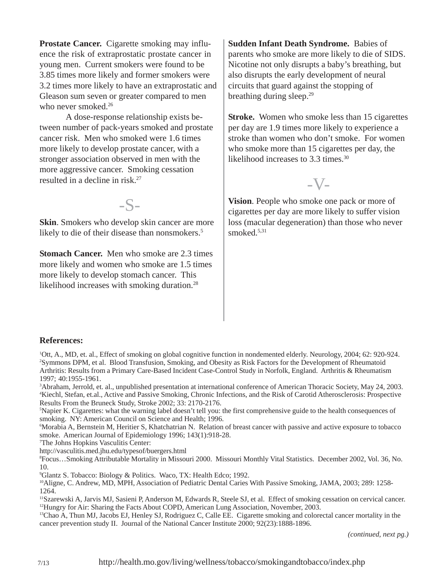**Prostate Cancer.** Cigarette smoking may influence the risk of extraprostatic prostate cancer in young men. Current smokers were found to be 3.85 times more likely and former smokers were 3.2 times more likely to have an extraprostatic and Gleason sum seven or greater compared to men who never smoked.<sup>26</sup>

A dose-response relationship exists between number of pack-years smoked and prostate cancer risk. Men who smoked were 1.6 times more likely to develop prostate cancer, with a stronger association observed in men with the more aggressive cancer. Smoking cessation resulted in a decline in risk.27

 $-S-$ 

**Skin**. Smokers who develop skin cancer are more likely to die of their disease than nonsmokers.<sup>5</sup>

**Stomach Cancer.** Men who smoke are 2.3 times more likely and women who smoke are 1.5 times more likely to develop stomach cancer. This likelihood increases with smoking duration.<sup>28</sup>

**Sudden Infant Death Syndrome.** Babies of parents who smoke are more likely to die of SIDS. Nicotine not only disrupts a baby's breathing, but also disrupts the early development of neural circuits that guard against the stopping of breathing during sleep.<sup>29</sup>

**Stroke.** Women who smoke less than 15 cigarettes per day are 1.9 times more likely to experience a stroke than women who don't smoke. For women who smoke more than 15 cigarettes per day, the likelihood increases to 3.3 times.<sup>30</sup>

 $-V<sub>-</sub>$ 

**Vision**. People who smoke one pack or more of cigarettes per day are more likely to suffer vision loss (macular degeneration) than those who never smoked. $5,31$ 

#### **References:**

1 Ott, A., MD, et. al., Effect of smoking on global cognitive function in nondemented elderly. Neurology, 2004; 62: 920-924. 2 Symmons DPM, et al. Blood Transfusion, Smoking, and Obesity as Risk Factors for the Development of Rheumatoid Arthritis: Results from a Primary Care-Based Incident Case-Control Study in Norfolk, England. Arthritis & Rheumatism 1997; 40:1955-1961.

3 Abraham, Jerrold, et. al., unpublished presentation at international conference of American Thoracic Society, May 24, 2003. 4 Kiechl, Stefan, et.al., Active and Passive Smoking, Chronic Infections, and the Risk of Carotid Atherosclerosis: Prospective Results From the Bruneck Study, Stroke 2002; 33: 2170-2176.

5 Napier K. Cigarettes: what the warning label doesn't tell you: the first comprehensive guide to the health consequences of smoking. NY: American Council on Science and Health; 1996.

6 Morabia A, Bernstein M, Heritier S, Khatchatrian N. Relation of breast cancer with passive and active exposure to tobacco smoke. American Journal of Epidemiology 1996; 143(1):918-28.

7 The Johns Hopkins Vasculitis Center:

http://vasculitis.med.jhu.edu/typesof/buergers.html

8 Focus…Smoking Attributable Mortality in Missouri 2000. Missouri Monthly Vital Statistics. December 2002, Vol. 36, No. 10.

9 Glantz S. Tobacco: Biology & Politics. Waco, TX: Health Edco; 1992.

10Aligne, C. Andrew, MD, MPH, Association of Pediatric Dental Caries With Passive Smoking, JAMA, 2003; 289: 1258- 1264.

11Szarewski A, Jarvis MJ, Sasieni P, Anderson M, Edwards R, Steele SJ, et al. Effect of smoking cessation on cervical cancer. <sup>12</sup>Hungry for Air: Sharing the Facts About COPD, American Lung Association, November, 2003.

<sup>13</sup>Chao A, Thun MJ, Jacobs EJ, Henley SJ, Rodriguez C, Calle EE. Cigarette smoking and colorectal cancer mortality in the cancer prevention study II. Journal of the National Cancer Institute 2000; 92(23):1888-1896.

*(continued, next pg.)*